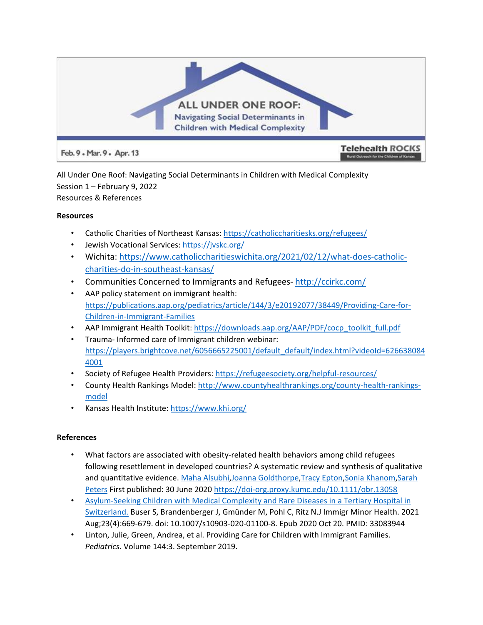

All Under One Roof: Navigating Social Determinants in Children with Medical Complexity Session 1 – February 9, 2022 Resources & References

## **Resources**

- Catholic Charities of Northeast Kansas: <https://catholiccharitiesks.org/refugees/>
- Jewish Vocational Services: <https://jvskc.org/>
- Wichita: [https://www.catholiccharitieswichita.org/2021/02/12/what-does-catholic](https://www.catholiccharitieswichita.org/2021/02/12/what-does-catholic-charities-do-in-southeast-kansas/)[charities-do-in-southeast-kansas/](https://www.catholiccharitieswichita.org/2021/02/12/what-does-catholic-charities-do-in-southeast-kansas/)
- Communities Concerned to Immigrants and Refugees-<http://ccirkc.com/>
- AAP policy statement on immigrant health: [https://publications.aap.org/pediatrics/article/144/3/e20192077/38449/Providing-Care-for-](https://publications.aap.org/pediatrics/article/144/3/e20192077/38449/Providing-Care-for-Children-in-Immigrant-Families)[Children-in-Immigrant-Families](https://publications.aap.org/pediatrics/article/144/3/e20192077/38449/Providing-Care-for-Children-in-Immigrant-Families)
- AAP Immigrant Health Toolkit: [https://downloads.aap.org/AAP/PDF/cocp\\_toolkit\\_full.pdf](https://downloads.aap.org/AAP/PDF/cocp_toolkit_full.pdf)
- Trauma- Informed care of Immigrant children webinar: [https://players.brightcove.net/6056665225001/default\\_default/index.html?videoId=626638084](https://players.brightcove.net/6056665225001/default_default/index.html?videoId=6266380844001) [4001](https://players.brightcove.net/6056665225001/default_default/index.html?videoId=6266380844001)
- Society of Refugee Health Providers: <https://refugeesociety.org/helpful-resources/>
- County Health Rankings Model: [http://www.countyhealthrankings.org/county-health-rankings](http://www.countyhealthrankings.org/county-health-rankings-model)[model](http://www.countyhealthrankings.org/county-health-rankings-model)
- Kansas Health Institute:<https://www.khi.org/>

## **References**

- What factors are associated with obesity-related health behaviors among child refugees following resettlement in developed countries? A systematic review and synthesis of qualitative and quantitative evidence. [Maha Alsubhi](https://onlinelibrary-wiley-com.proxy.kumc.edu/action/doSearch?ContribAuthorRaw=Alsubhi%2C+Maha)[,Joanna Goldthorpe](https://onlinelibrary-wiley-com.proxy.kumc.edu/action/doSearch?ContribAuthorRaw=Goldthorpe%2C+Joanna)[,Tracy Epton,](https://onlinelibrary-wiley-com.proxy.kumc.edu/action/doSearch?ContribAuthorRaw=Epton%2C+Tracy)[Sonia Khanom,](https://onlinelibrary-wiley-com.proxy.kumc.edu/action/doSearch?ContribAuthorRaw=Khanom%2C+Sonia)[Sarah](https://onlinelibrary-wiley-com.proxy.kumc.edu/action/doSearch?ContribAuthorRaw=Peters%2C+Sarah)  [Peters](https://onlinelibrary-wiley-com.proxy.kumc.edu/action/doSearch?ContribAuthorRaw=Peters%2C+Sarah) First published: 30 June 2020 <https://doi-org.proxy.kumc.edu/10.1111/obr.13058>
- [Asylum-Seeking](https://pubmed-ncbi-nlm-nih-gov.proxy.kumc.edu/33083944/) [Children](https://pubmed-ncbi-nlm-nih-gov.proxy.kumc.edu/33083944/) [with](https://pubmed-ncbi-nlm-nih-gov.proxy.kumc.edu/33083944/) [Medical](https://pubmed-ncbi-nlm-nih-gov.proxy.kumc.edu/33083944/) [Complexity](https://pubmed-ncbi-nlm-nih-gov.proxy.kumc.edu/33083944/) [and Rare Diseases in a Tertiary Hospital in](https://pubmed-ncbi-nlm-nih-gov.proxy.kumc.edu/33083944/)  [Switzerland.](https://pubmed-ncbi-nlm-nih-gov.proxy.kumc.edu/33083944/) Buser S, Brandenberger J, Gmünder M, Pohl C, Ritz N.J Immigr Minor Health. 2021 Aug;23(4):669-679. doi: 10.1007/s10903-020-01100-8. Epub 2020 Oct 20. PMID: 33083944
- Linton, Julie, Green, Andrea, et al. Providing Care for Children with Immigrant Families. *Pediatrics.* Volume 144:3. September 2019.